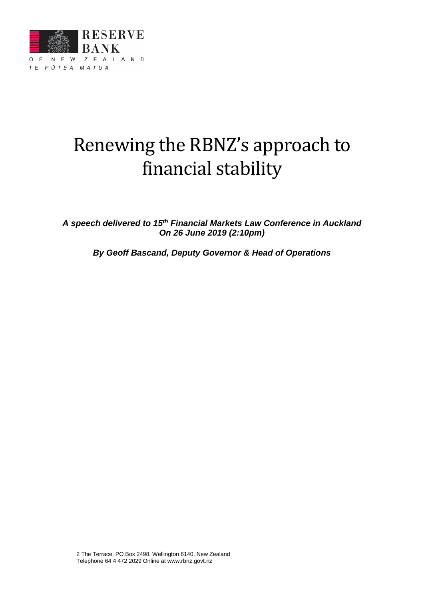

# Renewing the RBNZ's approach to financial stability

*A speech delivered to 15th Financial Markets Law Conference in Auckland On 26 June 2019 (2:10pm)*

*By Geoff Bascand, Deputy Governor & Head of Operations*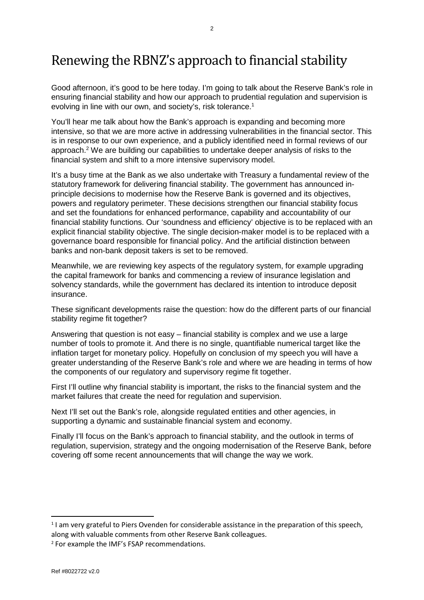# Renewing the RBNZ's approach to financial stability

Good afternoon, it's good to be here today. I'm going to talk about the Reserve Bank's role in ensuring financial stability and how our approach to prudential regulation and supervision is evolving in line with our own, and society's, risk tolerance.<sup>1</sup>

You'll hear me talk about how the Bank's approach is expanding and becoming more intensive, so that we are more active in addressing vulnerabilities in the financial sector. This is in response to our own experience, and a publicly identified need in formal reviews of our approach.2 We are building our capabilities to undertake deeper analysis of risks to the financial system and shift to a more intensive supervisory model.

It's a busy time at the Bank as we also undertake with Treasury a fundamental review of the statutory framework for delivering financial stability. The government has announced inprinciple decisions to modernise how the Reserve Bank is governed and its objectives, powers and regulatory perimeter. These decisions strengthen our financial stability focus and set the foundations for enhanced performance, capability and accountability of our financial stability functions. Our 'soundness and efficiency' objective is to be replaced with an explicit financial stability objective. The single decision-maker model is to be replaced with a governance board responsible for financial policy. And the artificial distinction between banks and non-bank deposit takers is set to be removed.

Meanwhile, we are reviewing key aspects of the regulatory system, for example upgrading the capital framework for banks and commencing a review of insurance legislation and solvency standards, while the government has declared its intention to introduce deposit insurance.

These significant developments raise the question: how do the different parts of our financial stability regime fit together?

Answering that question is not easy – financial stability is complex and we use a large number of tools to promote it. And there is no single, quantifiable numerical target like the inflation target for monetary policy. Hopefully on conclusion of my speech you will have a greater understanding of the Reserve Bank's role and where we are heading in terms of how the components of our regulatory and supervisory regime fit together.

First I'll outline why financial stability is important, the risks to the financial system and the market failures that create the need for regulation and supervision.

Next I'll set out the Bank's role, alongside regulated entities and other agencies, in supporting a dynamic and sustainable financial system and economy.

Finally I'll focus on the Bank's approach to financial stability, and the outlook in terms of regulation, supervision, strategy and the ongoing modernisation of the Reserve Bank, before covering off some recent announcements that will change the way we work.

<sup>&</sup>lt;sup>1</sup> I am very grateful to Piers Ovenden for considerable assistance in the preparation of this speech, along with valuable comments from other Reserve Bank colleagues.

<sup>2</sup> For example the IMF's FSAP recommendations.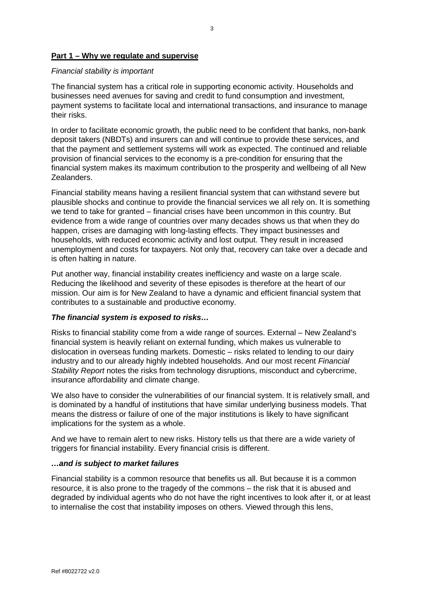#### **Part 1 – Why we regulate and supervise**

#### *Financial stability is important*

The financial system has a critical role in supporting economic activity. Households and businesses need avenues for saving and credit to fund consumption and investment, payment systems to facilitate local and international transactions, and insurance to manage their risks.

In order to facilitate economic growth, the public need to be confident that banks, non-bank deposit takers (NBDTs) and insurers can and will continue to provide these services, and that the payment and settlement systems will work as expected. The continued and reliable provision of financial services to the economy is a pre-condition for ensuring that the financial system makes its maximum contribution to the prosperity and wellbeing of all New Zealanders.

Financial stability means having a resilient financial system that can withstand severe but plausible shocks and continue to provide the financial services we all rely on. It is something we tend to take for granted – financial crises have been uncommon in this country. But evidence from a wide range of countries over many decades shows us that when they do happen, crises are damaging with long-lasting effects. They impact businesses and households, with reduced economic activity and lost output. They result in increased unemployment and costs for taxpayers. Not only that, recovery can take over a decade and is often halting in nature.

Put another way, financial instability creates inefficiency and waste on a large scale. Reducing the likelihood and severity of these episodes is therefore at the heart of our mission. Our aim is for New Zealand to have a dynamic and efficient financial system that contributes to a sustainable and productive economy.

#### *The financial system is exposed to risks…*

Risks to financial stability come from a wide range of sources. External – New Zealand's financial system is heavily reliant on external funding, which makes us vulnerable to dislocation in overseas funding markets. Domestic – risks related to lending to our dairy industry and to our already highly indebted households. And our most recent *Financial Stability Report* notes the risks from technology disruptions, misconduct and cybercrime, insurance affordability and climate change.

We also have to consider the vulnerabilities of our financial system. It is relatively small, and is dominated by a handful of institutions that have similar underlying business models. That means the distress or failure of one of the major institutions is likely to have significant implications for the system as a whole.

And we have to remain alert to new risks. History tells us that there are a wide variety of triggers for financial instability. Every financial crisis is different.

#### *…and is subject to market failures*

Financial stability is a common resource that benefits us all. But because it is a common resource, it is also prone to the tragedy of the commons – the risk that it is abused and degraded by individual agents who do not have the right incentives to look after it, or at least to internalise the cost that instability imposes on others. Viewed through this lens,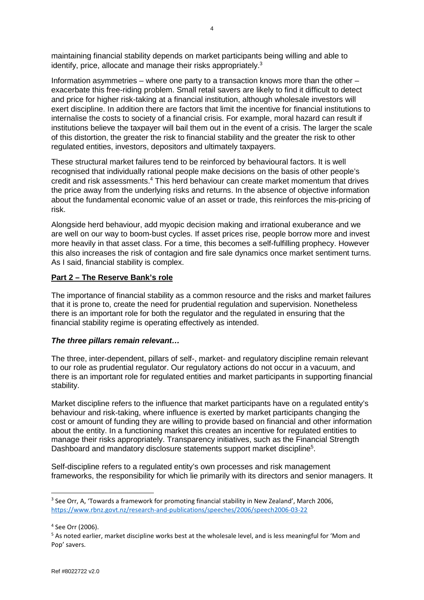maintaining financial stability depends on market participants being willing and able to identify, price, allocate and manage their risks appropriately.<sup>3</sup>

Information asymmetries – where one party to a transaction knows more than the other – exacerbate this free-riding problem. Small retail savers are likely to find it difficult to detect and price for higher risk-taking at a financial institution, although wholesale investors will exert discipline. In addition there are factors that limit the incentive for financial institutions to internalise the costs to society of a financial crisis. For example, moral hazard can result if institutions believe the taxpayer will bail them out in the event of a crisis. The larger the scale of this distortion, the greater the risk to financial stability and the greater the risk to other regulated entities, investors, depositors and ultimately taxpayers.

These structural market failures tend to be reinforced by behavioural factors. It is well recognised that individually rational people make decisions on the basis of other people's credit and risk assessments.4 This herd behaviour can create market momentum that drives the price away from the underlying risks and returns. In the absence of objective information about the fundamental economic value of an asset or trade, this reinforces the mis-pricing of risk.

Alongside herd behaviour, add myopic decision making and irrational exuberance and we are well on our way to boom-bust cycles. If asset prices rise, people borrow more and invest more heavily in that asset class. For a time, this becomes a self-fulfilling prophecy. However this also increases the risk of contagion and fire sale dynamics once market sentiment turns. As I said, financial stability is complex.

#### **Part 2 – The Reserve Bank's role**

The importance of financial stability as a common resource and the risks and market failures that it is prone to, create the need for prudential regulation and supervision. Nonetheless there is an important role for both the regulator and the regulated in ensuring that the financial stability regime is operating effectively as intended.

#### *The three pillars remain relevant…*

The three, inter-dependent, pillars of self-, market- and regulatory discipline remain relevant to our role as prudential regulator. Our regulatory actions do not occur in a vacuum, and there is an important role for regulated entities and market participants in supporting financial stability.

Market discipline refers to the influence that market participants have on a regulated entity's behaviour and risk-taking, where influence is exerted by market participants changing the cost or amount of funding they are willing to provide based on financial and other information about the entity. In a functioning market this creates an incentive for regulated entities to manage their risks appropriately. Transparency initiatives, such as the Financial Strength Dashboard and mandatory disclosure statements support market discipline<sup>5</sup>.

Self-discipline refers to a regulated entity's own processes and risk management frameworks, the responsibility for which lie primarily with its directors and senior managers. It

<sup>4</sup> See Orr (2006).

<sup>&</sup>lt;sup>3</sup> See Orr, A, 'Towards a framework for promoting financial stability in New Zealand', March 2006, <https://www.rbnz.govt.nz/research-and-publications/speeches/2006/speech2006-03-22>

<sup>5</sup> As noted earlier, market discipline works best at the wholesale level, and is less meaningful for 'Mom and Pop' savers.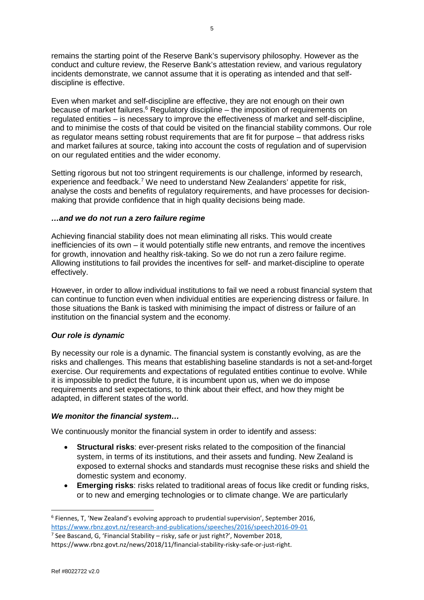remains the starting point of the Reserve Bank's supervisory philosophy. However as the conduct and culture review, the Reserve Bank's attestation review, and various regulatory incidents demonstrate, we cannot assume that it is operating as intended and that selfdiscipline is effective.

Even when market and self-discipline are effective, they are not enough on their own because of market failures.<sup>6</sup> Regulatory discipline – the imposition of requirements on regulated entities – is necessary to improve the effectiveness of market and self-discipline, and to minimise the costs of that could be visited on the financial stability commons. Our role as regulator means setting robust requirements that are fit for purpose – that address risks and market failures at source, taking into account the costs of regulation and of supervision on our regulated entities and the wider economy.

Setting rigorous but not too stringent requirements is our challenge, informed by research, experience and feedback.<sup>7</sup> We need to understand New Zealanders' appetite for risk, analyse the costs and benefits of regulatory requirements, and have processes for decisionmaking that provide confidence that in high quality decisions being made.

#### *…and we do not run a zero failure regime*

Achieving financial stability does not mean eliminating all risks. This would create inefficiencies of its own – it would potentially stifle new entrants, and remove the incentives for growth, innovation and healthy risk-taking. So we do not run a zero failure regime. Allowing institutions to fail provides the incentives for self- and market-discipline to operate effectively.

However, in order to allow individual institutions to fail we need a robust financial system that can continue to function even when individual entities are experiencing distress or failure. In those situations the Bank is tasked with minimising the impact of distress or failure of an institution on the financial system and the economy.

# *Our role is dynamic*

By necessity our role is a dynamic. The financial system is constantly evolving, as are the risks and challenges. This means that establishing baseline standards is not a set-and-forget exercise. Our requirements and expectations of regulated entities continue to evolve. While it is impossible to predict the future, it is incumbent upon us, when we do impose requirements and set expectations, to think about their effect, and how they might be adapted, in different states of the world.

# *We monitor the financial system…*

We continuously monitor the financial system in order to identify and assess:

- **Structural risks**: ever-present risks related to the composition of the financial system, in terms of its institutions, and their assets and funding. New Zealand is exposed to external shocks and standards must recognise these risks and shield the domestic system and economy.
- **Emerging risks**: risks related to traditional areas of focus like credit or funding risks, or to new and emerging technologies or to climate change. We are particularly

<sup>6</sup> Fiennes, T, 'New Zealand's evolving approach to prudential supervision', September 2016, <https://www.rbnz.govt.nz/research-and-publications/speeches/2016/speech2016-09-01>

 $<sup>7</sup>$  See Bascand, G, 'Financial Stability – risky, safe or just right?', November 2018,</sup>

https://www.rbnz.govt.nz/news/2018/11/financial-stability-risky-safe-or-just-right.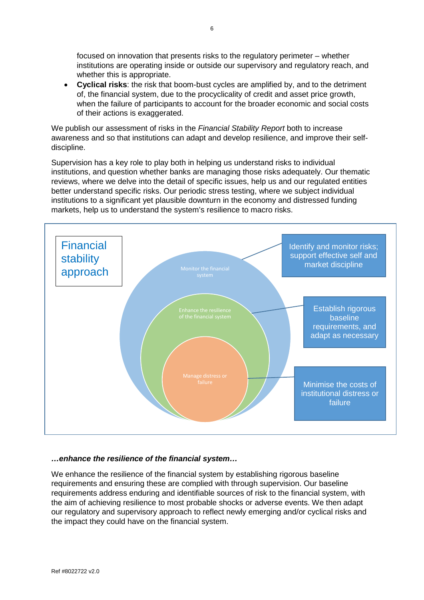focused on innovation that presents risks to the regulatory perimeter – whether institutions are operating inside or outside our supervisory and regulatory reach, and whether this is appropriate.

• **Cyclical risks**: the risk that boom-bust cycles are amplified by, and to the detriment of, the financial system, due to the procyclicality of credit and asset price growth, when the failure of participants to account for the broader economic and social costs of their actions is exaggerated.

We publish our assessment of risks in the *Financial Stability Report* both to increase awareness and so that institutions can adapt and develop resilience, and improve their selfdiscipline.

Supervision has a key role to play both in helping us understand risks to individual institutions, and question whether banks are managing those risks adequately. Our thematic reviews, where we delve into the detail of specific issues, help us and our regulated entities better understand specific risks. Our periodic stress testing, where we subject individual institutions to a significant yet plausible downturn in the economy and distressed funding markets, help us to understand the system's resilience to macro risks.



#### *…enhance the resilience of the financial system…*

We enhance the resilience of the financial system by establishing rigorous baseline requirements and ensuring these are complied with through supervision. Our baseline requirements address enduring and identifiable sources of risk to the financial system, with the aim of achieving resilience to most probable shocks or adverse events. We then adapt our regulatory and supervisory approach to reflect newly emerging and/or cyclical risks and the impact they could have on the financial system.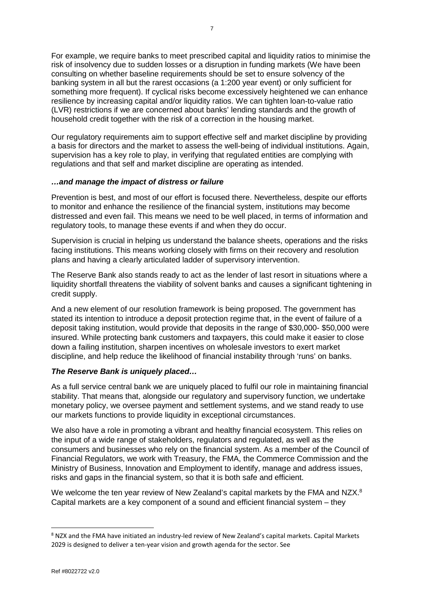For example, we require banks to meet prescribed capital and liquidity ratios to minimise the risk of insolvency due to sudden losses or a disruption in funding markets (We have been consulting on whether baseline requirements should be set to ensure solvency of the banking system in all but the rarest occasions (a 1:200 year event) or only sufficient for something more frequent). If cyclical risks become excessively heightened we can enhance resilience by increasing capital and/or liquidity ratios. We can tighten loan-to-value ratio (LVR) restrictions if we are concerned about banks' lending standards and the growth of household credit together with the risk of a correction in the housing market.

Our regulatory requirements aim to support effective self and market discipline by providing a basis for directors and the market to assess the well-being of individual institutions. Again, supervision has a key role to play, in verifying that regulated entities are complying with regulations and that self and market discipline are operating as intended.

#### *…and manage the impact of distress or failure*

Prevention is best, and most of our effort is focused there. Nevertheless, despite our efforts to monitor and enhance the resilience of the financial system, institutions may become distressed and even fail. This means we need to be well placed, in terms of information and regulatory tools, to manage these events if and when they do occur.

Supervision is crucial in helping us understand the balance sheets, operations and the risks facing institutions. This means working closely with firms on their recovery and resolution plans and having a clearly articulated ladder of supervisory intervention.

The Reserve Bank also stands ready to act as the lender of last resort in situations where a liquidity shortfall threatens the viability of solvent banks and causes a significant tightening in credit supply.

And a new element of our resolution framework is being proposed. The government has stated its intention to introduce a deposit protection regime that, in the event of failure of a deposit taking institution, would provide that deposits in the range of \$30,000- \$50,000 were insured. While protecting bank customers and taxpayers, this could make it easier to close down a failing institution, sharpen incentives on wholesale investors to exert market discipline, and help reduce the likelihood of financial instability through 'runs' on banks.

# *The Reserve Bank is uniquely placed…*

As a full service central bank we are uniquely placed to fulfil our role in maintaining financial stability. That means that, alongside our regulatory and supervisory function, we undertake monetary policy, we oversee payment and settlement systems, and we stand ready to use our markets functions to provide liquidity in exceptional circumstances.

We also have a role in promoting a vibrant and healthy financial ecosystem. This relies on the input of a wide range of stakeholders, regulators and regulated, as well as the consumers and businesses who rely on the financial system. As a member of the Council of Financial Regulators, we work with Treasury, the FMA, the Commerce Commission and the Ministry of Business, Innovation and Employment to identify, manage and address issues, risks and gaps in the financial system, so that it is both safe and efficient.

We welcome the ten year review of New Zealand's capital markets by the FMA and NZX.<sup>8</sup> Capital markets are a key component of a sound and efficient financial system – they

<sup>8</sup> NZX and the FMA have initiated an industry-led review of New Zealand's capital markets. Capital Markets 2029 is designed to deliver a ten-year vision and growth agenda for the sector. See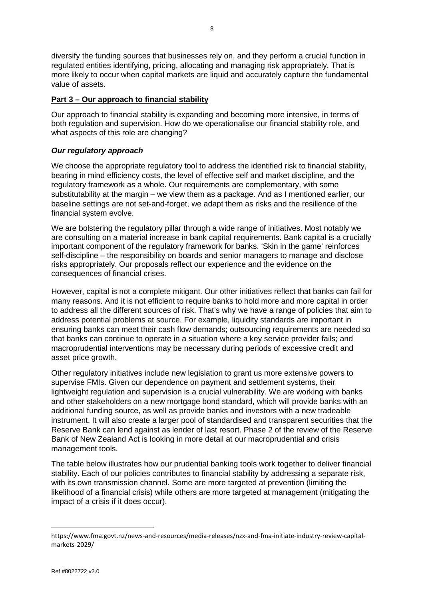diversify the funding sources that businesses rely on, and they perform a crucial function in regulated entities identifying, pricing, allocating and managing risk appropriately. That is more likely to occur when capital markets are liquid and accurately capture the fundamental value of assets.

#### **Part 3 – Our approach to financial stability**

Our approach to financial stability is expanding and becoming more intensive, in terms of both regulation and supervision. How do we operationalise our financial stability role, and what aspects of this role are changing?

#### *Our regulatory approach*

We choose the appropriate regulatory tool to address the identified risk to financial stability, bearing in mind efficiency costs, the level of effective self and market discipline, and the regulatory framework as a whole. Our requirements are complementary, with some substitutability at the margin – we view them as a package. And as I mentioned earlier, our baseline settings are not set-and-forget, we adapt them as risks and the resilience of the financial system evolve.

We are bolstering the regulatory pillar through a wide range of initiatives. Most notably we are consulting on a material increase in bank capital requirements. Bank capital is a crucially important component of the regulatory framework for banks. 'Skin in the game' reinforces self-discipline – the responsibility on boards and senior managers to manage and disclose risks appropriately. Our proposals reflect our experience and the evidence on the consequences of financial crises.

However, capital is not a complete mitigant. Our other initiatives reflect that banks can fail for many reasons. And it is not efficient to require banks to hold more and more capital in order to address all the different sources of risk. That's why we have a range of policies that aim to address potential problems at source. For example, liquidity standards are important in ensuring banks can meet their cash flow demands; outsourcing requirements are needed so that banks can continue to operate in a situation where a key service provider fails; and macroprudential interventions may be necessary during periods of excessive credit and asset price growth.

Other regulatory initiatives include new legislation to grant us more extensive powers to supervise FMIs. Given our dependence on payment and settlement systems, their lightweight regulation and supervision is a crucial vulnerability. We are working with banks and other stakeholders on a new mortgage bond standard, which will provide banks with an additional funding source, as well as provide banks and investors with a new tradeable instrument. It will also create a larger pool of standardised and transparent securities that the Reserve Bank can lend against as lender of last resort. Phase 2 of the review of the Reserve Bank of New Zealand Act is looking in more detail at our macroprudential and crisis management tools.

The table below illustrates how our prudential banking tools work together to deliver financial stability. Each of our policies contributes to financial stability by addressing a separate risk, with its own transmission channel. Some are more targeted at prevention (limiting the likelihood of a financial crisis) while others are more targeted at management (mitigating the impact of a crisis if it does occur).

https://www.fma.govt.nz/news-and-resources/media-releases/nzx-and-fma-initiate-industry-review-capitalmarkets-2029/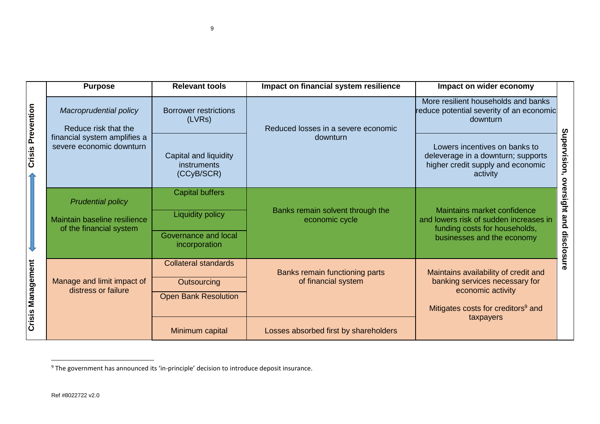|                          | <b>Purpose</b>                                                                                             | <b>Relevant tools</b>                                                                      | Impact on financial system resilience                 | Impact on wider economy                                                                                                                                    |                          |
|--------------------------|------------------------------------------------------------------------------------------------------------|--------------------------------------------------------------------------------------------|-------------------------------------------------------|------------------------------------------------------------------------------------------------------------------------------------------------------------|--------------------------|
| <b>Crisis Prevention</b> | Macroprudential policy<br>Reduce risk that the<br>financial system amplifies a<br>severe economic downturn | <b>Borrower restrictions</b><br>(LVRs)                                                     | Reduced losses in a severe economic<br>downturn       | More resilient households and banks<br>reduce potential severity of an economic<br>downturn                                                                | Supervision,<br>ove      |
|                          |                                                                                                            | Capital and liquidity<br>instruments<br>(CCyB/SCR)                                         |                                                       | Lowers incentives on banks to<br>deleverage in a downturn; supports<br>higher credit supply and economic<br>activity                                       |                          |
|                          | <b>Prudential policy</b><br>Maintain baseline resilience<br>of the financial system                        | <b>Capital buffers</b><br><b>Liquidity policy</b><br>Governance and local<br>incorporation | Banks remain solvent through the<br>economic cycle    | Maintains market confidence<br>and lowers risk of sudden increases in<br>funding costs for households,<br>businesses and the economy                       | rsight and<br>disclosure |
| <b>Crisis Management</b> | Manage and limit impact of<br>distress or failure                                                          | <b>Collateral standards</b><br>Outsourcing<br><b>Open Bank Resolution</b>                  | Banks remain functioning parts<br>of financial system | Maintains availability of credit and<br>banking services necessary for<br>economic activity<br>Mitigates costs for creditors <sup>9</sup> and<br>taxpayers |                          |
|                          |                                                                                                            | Minimum capital                                                                            | Losses absorbed first by shareholders                 |                                                                                                                                                            |                          |

 $\ddot{ }$ 

<sup>&</sup>lt;sup>9</sup> The government has announced its 'in-principle' decision to introduce deposit insurance.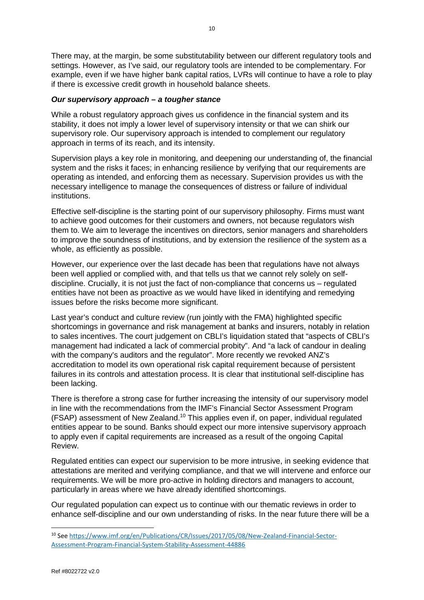There may, at the margin, be some substitutability between our different regulatory tools and settings. However, as I've said, our regulatory tools are intended to be complementary. For example, even if we have higher bank capital ratios, LVRs will continue to have a role to play if there is excessive credit growth in household balance sheets.

# *Our supervisory approach – a tougher stance*

While a robust regulatory approach gives us confidence in the financial system and its stability, it does not imply a lower level of supervisory intensity or that we can shirk our supervisory role. Our supervisory approach is intended to complement our regulatory approach in terms of its reach, and its intensity.

Supervision plays a key role in monitoring, and deepening our understanding of, the financial system and the risks it faces; in enhancing resilience by verifying that our requirements are operating as intended, and enforcing them as necessary. Supervision provides us with the necessary intelligence to manage the consequences of distress or failure of individual institutions.

Effective self-discipline is the starting point of our supervisory philosophy. Firms must want to achieve good outcomes for their customers and owners, not because regulators wish them to. We aim to leverage the incentives on directors, senior managers and shareholders to improve the soundness of institutions, and by extension the resilience of the system as a whole, as efficiently as possible.

However, our experience over the last decade has been that regulations have not always been well applied or complied with, and that tells us that we cannot rely solely on selfdiscipline. Crucially, it is not just the fact of non-compliance that concerns us – regulated entities have not been as proactive as we would have liked in identifying and remedying issues before the risks become more significant.

Last year's conduct and culture review (run jointly with the FMA) highlighted specific shortcomings in governance and risk management at banks and insurers, notably in relation to sales incentives. The court judgement on CBLI's liquidation stated that "aspects of CBLI's management had indicated a lack of commercial probity". And "a lack of candour in dealing with the company's auditors and the regulator". More recently we revoked ANZ's accreditation to model its own operational risk capital requirement because of persistent failures in its controls and attestation process. It is clear that institutional self-discipline has been lacking.

There is therefore a strong case for further increasing the intensity of our supervisory model in line with the recommendations from the IMF's Financial Sector Assessment Program (FSAP) assessment of New Zealand.10 This applies even if, on paper, individual regulated entities appear to be sound. Banks should expect our more intensive supervisory approach to apply even if capital requirements are increased as a result of the ongoing Capital Review.

Regulated entities can expect our supervision to be more intrusive, in seeking evidence that attestations are merited and verifying compliance, and that we will intervene and enforce our requirements. We will be more pro-active in holding directors and managers to account, particularly in areas where we have already identified shortcomings.

Our regulated population can expect us to continue with our thematic reviews in order to enhance self-discipline and our own understanding of risks. In the near future there will be a

<sup>&</sup>lt;sup>10</sup> Se[e https://www.imf.org/en/Publications/CR/Issues/2017/05/08/New-Zealand-Financial-Sector-](https://www.imf.org/en/Publications/CR/Issues/2017/05/08/New-Zealand-Financial-Sector-Assessment-Program-Financial-System-Stability-Assessment-44886)[Assessment-Program-Financial-System-Stability-Assessment-44886](https://www.imf.org/en/Publications/CR/Issues/2017/05/08/New-Zealand-Financial-Sector-Assessment-Program-Financial-System-Stability-Assessment-44886)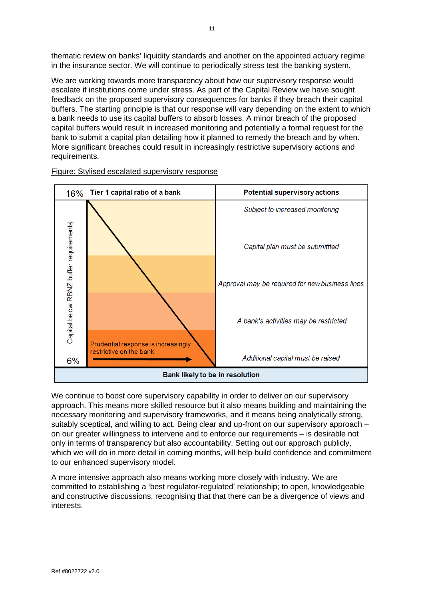thematic review on banks' liquidity standards and another on the appointed actuary regime in the insurance sector. We will continue to periodically stress test the banking system.

We are working towards more transparency about how our supervisory response would escalate if institutions come under stress. As part of the Capital Review we have sought feedback on the proposed supervisory consequences for banks if they breach their capital buffers. The starting principle is that our response will vary depending on the extent to which a bank needs to use its capital buffers to absorb losses. A minor breach of the proposed capital buffers would result in increased monitoring and potentially a formal request for the bank to submit a capital plan detailing how it planned to remedy the breach and by when. More significant breaches could result in increasingly restrictive supervisory actions and requirements.



Figure: Stylised escalated supervisory response

We continue to boost core supervisory capability in order to deliver on our supervisory approach. This means more skilled resource but it also means building and maintaining the necessary monitoring and supervisory frameworks, and it means being analytically strong, suitably sceptical, and willing to act. Being clear and up-front on our supervisory approach on our greater willingness to intervene and to enforce our requirements – is desirable not only in terms of transparency but also accountability. Setting out our approach publicly, which we will do in more detail in coming months, will help build confidence and commitment to our enhanced supervisory model.

A more intensive approach also means working more closely with industry. We are committed to establishing a 'best regulator-regulated' relationship; to open, knowledgeable and constructive discussions, recognising that that there can be a divergence of views and interests.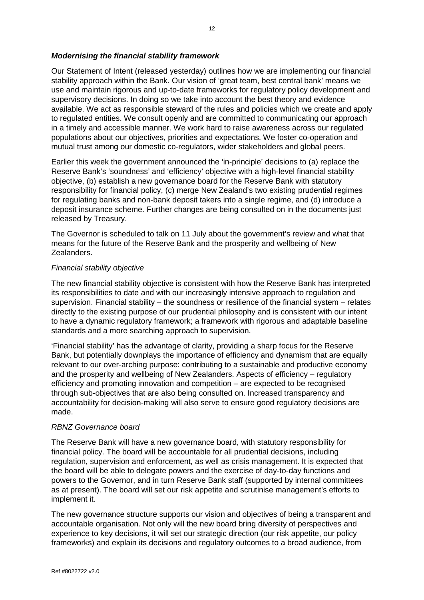#### *Modernising the financial stability framework*

Our Statement of Intent (released yesterday) outlines how we are implementing our financial stability approach within the Bank. Our vision of 'great team, best central bank' means we use and maintain rigorous and up-to-date frameworks for regulatory policy development and supervisory decisions. In doing so we take into account the best theory and evidence available. We act as responsible steward of the rules and policies which we create and apply to regulated entities. We consult openly and are committed to communicating our approach in a timely and accessible manner. We work hard to raise awareness across our regulated populations about our objectives, priorities and expectations. We foster co-operation and mutual trust among our domestic co-regulators, wider stakeholders and global peers.

Earlier this week the government announced the 'in-principle' decisions to (a) replace the Reserve Bank's 'soundness' and 'efficiency' objective with a high-level financial stability objective, (b) establish a new governance board for the Reserve Bank with statutory responsibility for financial policy, (c) merge New Zealand's two existing prudential regimes for regulating banks and non-bank deposit takers into a single regime, and (d) introduce a deposit insurance scheme. Further changes are being consulted on in the documents just released by Treasury.

The Governor is scheduled to talk on 11 July about the government's review and what that means for the future of the Reserve Bank and the prosperity and wellbeing of New Zealanders.

#### *Financial stability objective*

The new financial stability objective is consistent with how the Reserve Bank has interpreted its responsibilities to date and with our increasingly intensive approach to regulation and supervision. Financial stability – the soundness or resilience of the financial system – relates directly to the existing purpose of our prudential philosophy and is consistent with our intent to have a dynamic regulatory framework; a framework with rigorous and adaptable baseline standards and a more searching approach to supervision.

'Financial stability' has the advantage of clarity, providing a sharp focus for the Reserve Bank, but potentially downplays the importance of efficiency and dynamism that are equally relevant to our over-arching purpose: contributing to a sustainable and productive economy and the prosperity and wellbeing of New Zealanders. Aspects of efficiency – regulatory efficiency and promoting innovation and competition – are expected to be recognised through sub-objectives that are also being consulted on. Increased transparency and accountability for decision-making will also serve to ensure good regulatory decisions are made.

#### *RBNZ Governance board*

The Reserve Bank will have a new governance board, with statutory responsibility for financial policy. The board will be accountable for all prudential decisions, including regulation, supervision and enforcement, as well as crisis management. It is expected that the board will be able to delegate powers and the exercise of day-to-day functions and powers to the Governor, and in turn Reserve Bank staff (supported by internal committees as at present). The board will set our risk appetite and scrutinise management's efforts to implement it.

The new governance structure supports our vision and objectives of being a transparent and accountable organisation. Not only will the new board bring diversity of perspectives and experience to key decisions, it will set our strategic direction (our risk appetite, our policy frameworks) and explain its decisions and regulatory outcomes to a broad audience, from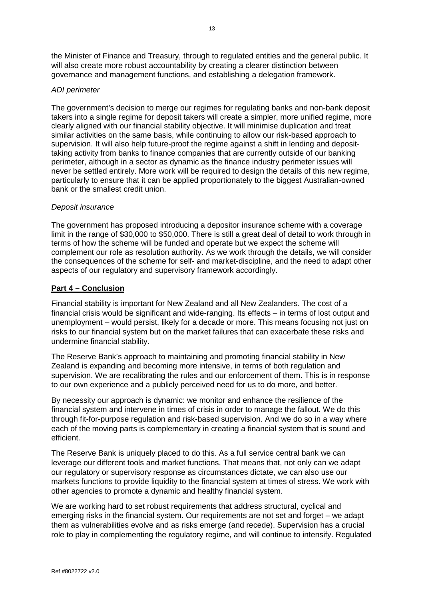the Minister of Finance and Treasury, through to regulated entities and the general public. It will also create more robust accountability by creating a clearer distinction between governance and management functions, and establishing a delegation framework.

#### *ADI perimeter*

The government's decision to merge our regimes for regulating banks and non-bank deposit takers into a single regime for deposit takers will create a simpler, more unified regime, more clearly aligned with our financial stability objective. It will minimise duplication and treat similar activities on the same basis, while continuing to allow our risk-based approach to supervision. It will also help future-proof the regime against a shift in lending and deposittaking activity from banks to finance companies that are currently outside of our banking perimeter, although in a sector as dynamic as the finance industry perimeter issues will never be settled entirely. More work will be required to design the details of this new regime, particularly to ensure that it can be applied proportionately to the biggest Australian-owned bank or the smallest credit union.

#### *Deposit insurance*

The government has proposed introducing a depositor insurance scheme with a coverage limit in the range of \$30,000 to \$50,000. There is still a great deal of detail to work through in terms of how the scheme will be funded and operate but we expect the scheme will complement our role as resolution authority. As we work through the details, we will consider the consequences of the scheme for self- and market-discipline, and the need to adapt other aspects of our regulatory and supervisory framework accordingly.

# **Part 4 – Conclusion**

Financial stability is important for New Zealand and all New Zealanders. The cost of a financial crisis would be significant and wide-ranging. Its effects – in terms of lost output and unemployment – would persist, likely for a decade or more. This means focusing not just on risks to our financial system but on the market failures that can exacerbate these risks and undermine financial stability.

The Reserve Bank's approach to maintaining and promoting financial stability in New Zealand is expanding and becoming more intensive, in terms of both regulation and supervision. We are recalibrating the rules and our enforcement of them. This is in response to our own experience and a publicly perceived need for us to do more, and better.

By necessity our approach is dynamic: we monitor and enhance the resilience of the financial system and intervene in times of crisis in order to manage the fallout. We do this through fit-for-purpose regulation and risk-based supervision. And we do so in a way where each of the moving parts is complementary in creating a financial system that is sound and efficient.

The Reserve Bank is uniquely placed to do this. As a full service central bank we can leverage our different tools and market functions. That means that, not only can we adapt our regulatory or supervisory response as circumstances dictate, we can also use our markets functions to provide liquidity to the financial system at times of stress. We work with other agencies to promote a dynamic and healthy financial system.

We are working hard to set robust requirements that address structural, cyclical and emerging risks in the financial system. Our requirements are not set and forget – we adapt them as vulnerabilities evolve and as risks emerge (and recede). Supervision has a crucial role to play in complementing the regulatory regime, and will continue to intensify. Regulated